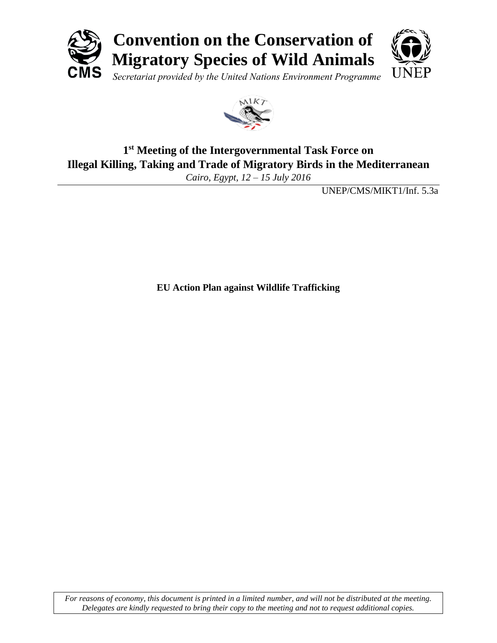



# **1 st Meeting of the Intergovernmental Task Force on Illegal Killing, Taking and Trade of Migratory Birds in the Mediterranean**

*Cairo, Egypt, 12 – 15 July 2016*

UNEP/CMS/MIKT1/Inf. 5.3a

**EU Action Plan against Wildlife Trafficking**

*For reasons of economy, this document is printed in a limited number, and will not be distributed at the meeting. Delegates are kindly requested to bring their copy to the meeting and not to request additional copies.*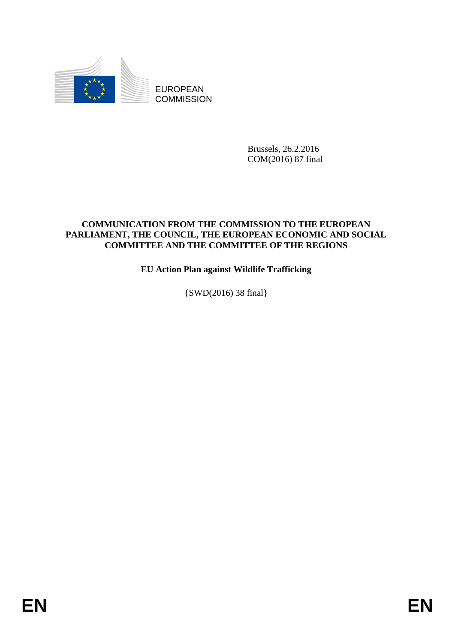

EUROPEAN **COMMISSION** 

> Brussels, 26.2.2016 COM(2016) 87 final

### **COMMUNICATION FROM THE COMMISSION TO THE EUROPEAN PARLIAMENT, THE COUNCIL, THE EUROPEAN ECONOMIC AND SOCIAL COMMITTEE AND THE COMMITTEE OF THE REGIONS**

# **EU Action Plan against Wildlife Trafficking**

{SWD(2016) 38 final}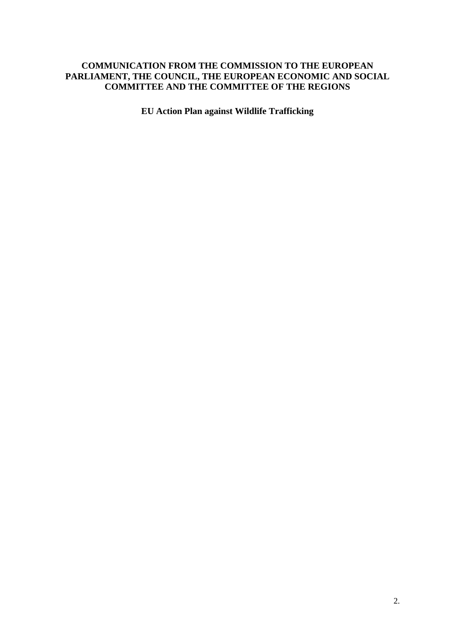#### **COMMUNICATION FROM THE COMMISSION TO THE EUROPEAN PARLIAMENT, THE COUNCIL, THE EUROPEAN ECONOMIC AND SOCIAL COMMITTEE AND THE COMMITTEE OF THE REGIONS**

**EU Action Plan against Wildlife Trafficking**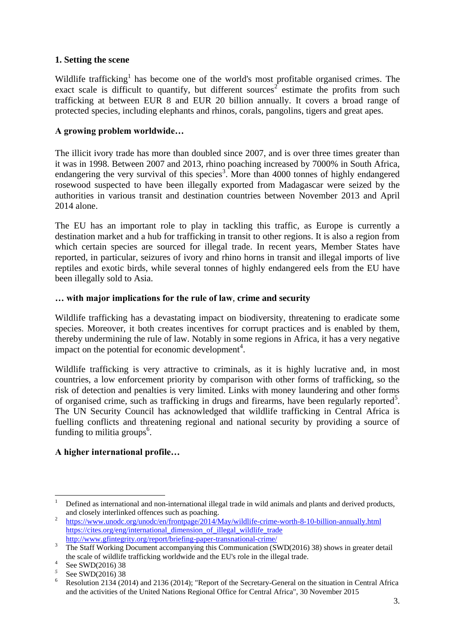#### **1. Setting the scene**

Wildlife trafficking<sup>1</sup> has become one of the world's most profitable organised crimes. The exact scale is difficult to quantify, but different sources<sup>2</sup> estimate the profits from such trafficking at between EUR 8 and EUR 20 billion annually. It covers a broad range of protected species, including elephants and rhinos, corals, pangolins, tigers and great apes.

#### **A growing problem worldwide…**

The illicit ivory trade has more than doubled since 2007, and is over three times greater than it was in 1998. Between 2007 and 2013, rhino poaching increased by 7000% in South Africa, endangering the very survival of this species<sup>3</sup>. More than 4000 tonnes of highly endangered rosewood suspected to have been illegally exported from Madagascar were seized by the authorities in various transit and destination countries between November 2013 and April 2014 alone.

The EU has an important role to play in tackling this traffic, as Europe is currently a destination market and a hub for trafficking in transit to other regions. It is also a region from which certain species are sourced for illegal trade. In recent years, Member States have reported, in particular, seizures of ivory and rhino horns in transit and illegal imports of live reptiles and exotic birds, while several tonnes of highly endangered eels from the EU have been illegally sold to Asia.

#### **… with major implications for the rule of law**, **crime and security**

Wildlife trafficking has a devastating impact on biodiversity, threatening to eradicate some species. Moreover, it both creates incentives for corrupt practices and is enabled by them, thereby undermining the rule of law. Notably in some regions in Africa, it has a very negative impact on the potential for economic development<sup>4</sup>.

Wildlife trafficking is very attractive to criminals, as it is highly lucrative and, in most countries, a low enforcement priority by comparison with other forms of trafficking, so the risk of detection and penalties is very limited. Links with money laundering and other forms of organised crime, such as trafficking in drugs and firearms, have been regularly reported<sup>5</sup>. The UN Security Council has acknowledged that wildlife trafficking in Central Africa is fuelling conflicts and threatening regional and national security by providing a source of funding to militia groups<sup>6</sup>.

### **A higher international profile…**

**<sup>.</sup>** <sup>1</sup> Defined as international and non-international illegal trade in wild animals and plants and derived products, and closely interlinked offences such as poaching.

<sup>2</sup> <https://www.unodc.org/unodc/en/frontpage/2014/May/wildlife-crime-worth-8-10-billion-annually.html> [https://cites.org/eng/international\\_dimension\\_of\\_illegal\\_wildlife\\_trade](https://cites.org/eng/international_dimension_of_illegal_wildlife_trade) <http://www.gfintegrity.org/report/briefing-paper-transnational-crime/>

<sup>&</sup>lt;sup>3</sup> The Staff Working Document accompanying this Communication (SWD(2016) 38) shows in greater detail the scale of wildlife trafficking worldwide and the EU's role in the illegal trade.

<sup>4</sup> See SWD(2016) 38

*<sup>5</sup>* See SWD(2016) 38

<sup>&</sup>lt;sup>6</sup> Resolution 2134 (2014) and 2136 (2014); "Report of the Secretary-General on the situation in Central Africa and the activities of the United Nations Regional Office for Central Africa", 30 November 2015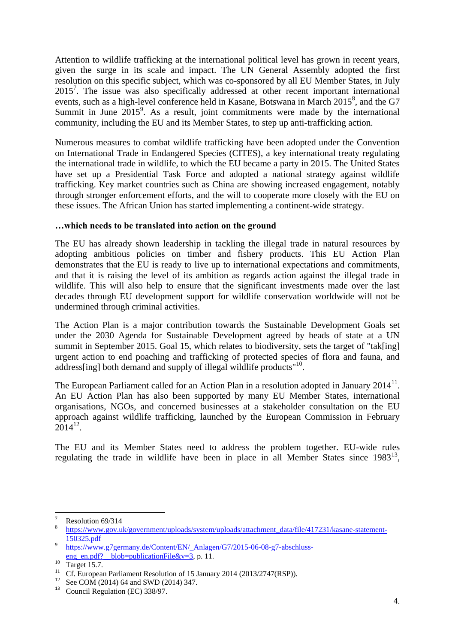Attention to wildlife trafficking at the international political level has grown in recent years, given the surge in its scale and impact. The UN General Assembly adopted the first resolution on this specific subject, which was co-sponsored by all EU Member States, in July 2015<sup>7</sup>. The issue was also specifically addressed at other recent important international events, such as a high-level conference held in Kasane, Botswana in March 2015<sup>8</sup>, and the G7 Summit in June  $2015^9$ . As a result, joint commitments were made by the international community, including the EU and its Member States, to step up anti-trafficking action.

Numerous measures to combat wildlife trafficking have been adopted under the Convention on International Trade in Endangered Species (CITES), a key international treaty regulating the international trade in wildlife, to which the EU became a party in 2015. The United States have set up a Presidential Task Force and adopted a national strategy against wildlife trafficking. Key market countries such as China are showing increased engagement, notably through stronger enforcement efforts, and the will to cooperate more closely with the EU on these issues. The African Union has started implementing a continent-wide strategy.

#### **…which needs to be translated into action on the ground**

The EU has already shown leadership in tackling the illegal trade in natural resources by adopting ambitious policies on timber and fishery products. This EU Action Plan demonstrates that the EU is ready to live up to international expectations and commitments, and that it is raising the level of its ambition as regards action against the illegal trade in wildlife. This will also help to ensure that the significant investments made over the last decades through EU development support for wildlife conservation worldwide will not be undermined through criminal activities.

The Action Plan is a major contribution towards the Sustainable Development Goals set under the 2030 Agenda for Sustainable Development agreed by heads of state at a UN summit in September 2015. Goal 15, which relates to biodiversity, sets the target of "tak[ing] urgent action to end poaching and trafficking of protected species of flora and fauna, and address[ing] both demand and supply of illegal wildlife products"<sup>10</sup>.

The European Parliament called for an Action Plan in a resolution adopted in January  $2014<sup>11</sup>$ . An EU Action Plan has also been supported by many EU Member States, international organisations, NGOs, and concerned businesses at a stakeholder consultation on the EU approach against wildlife trafficking, launched by the European Commission in February  $2014^{12}$ .

The EU and its Member States need to address the problem together. EU-wide rules regulating the trade in wildlife have been in place in all Member States since  $1983^{13}$ ,

 $\overline{7}$ Resolution 69/314

<sup>8</sup> [https://www.gov.uk/government/uploads/system/uploads/attachment\\_data/file/417231/kasane-statement-](https://www.gov.uk/government/uploads/system/uploads/attachment_data/file/417231/kasane-statement-150325.pdf)[150325.pdf](https://www.gov.uk/government/uploads/system/uploads/attachment_data/file/417231/kasane-statement-150325.pdf)

<sup>9</sup> [https://www.g7germany.de/Content/EN/\\_Anlagen/G7/2015-06-08-g7-abschluss](https://www.g7germany.de/Content/EN/_Anlagen/G7/2015-06-08-g7-abschluss-eng_en.pdf?__blob=publicationFile&v=3)eng\_en.pdf?\_blob=publicationFile&v=3, p. 11.

 $\frac{10}{11}$  Target 15.7.

Cf. European Parliament Resolution of 15 January 2014 (2013/2747(RSP)).

<sup>&</sup>lt;sup>12</sup> See COM (2014) 64 and SWD (2014) 347.

<sup>&</sup>lt;sup>13</sup> Council Regulation (EC) 338/97.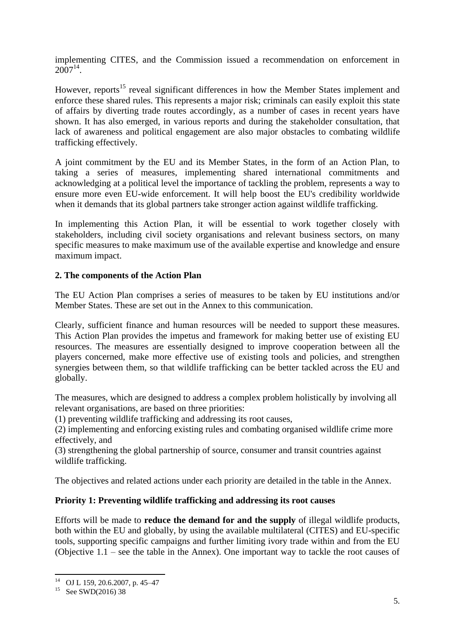implementing CITES, and the Commission issued a recommendation on enforcement in  $2007^{14}$ .

However, reports<sup>15</sup> reveal significant differences in how the Member States implement and enforce these shared rules. This represents a major risk; criminals can easily exploit this state of affairs by diverting trade routes accordingly, as a number of cases in recent years have shown. It has also emerged, in various reports and during the stakeholder consultation, that lack of awareness and political engagement are also major obstacles to combating wildlife trafficking effectively.

A joint commitment by the EU and its Member States, in the form of an Action Plan, to taking a series of measures, implementing shared international commitments and acknowledging at a political level the importance of tackling the problem, represents a way to ensure more even EU-wide enforcement. It will help boost the EU's credibility worldwide when it demands that its global partners take stronger action against wildlife trafficking.

In implementing this Action Plan, it will be essential to work together closely with stakeholders, including civil society organisations and relevant business sectors, on many specific measures to make maximum use of the available expertise and knowledge and ensure maximum impact.

#### **2. The components of the Action Plan**

The EU Action Plan comprises a series of measures to be taken by EU institutions and/or Member States. These are set out in the Annex to this communication.

Clearly, sufficient finance and human resources will be needed to support these measures. This Action Plan provides the impetus and framework for making better use of existing EU resources. The measures are essentially designed to improve cooperation between all the players concerned, make more effective use of existing tools and policies, and strengthen synergies between them, so that wildlife trafficking can be better tackled across the EU and globally.

The measures, which are designed to address a complex problem holistically by involving all relevant organisations, are based on three priorities:

(1) preventing wildlife trafficking and addressing its root causes,

(2) implementing and enforcing existing rules and combating organised wildlife crime more effectively, and

(3) strengthening the global partnership of source, consumer and transit countries against wildlife trafficking.

The objectives and related actions under each priority are detailed in the table in the Annex.

#### **Priority 1: Preventing wildlife trafficking and addressing its root causes**

Efforts will be made to **reduce the demand for and the supply** of illegal wildlife products, both within the EU and globally, by using the available multilateral (CITES) and EU-specific tools, supporting specific campaigns and further limiting ivory trade within and from the EU (Objective 1.1 – see the table in the Annex). One important way to tackle the root causes of

**.** 

<sup>14</sup> OJ L 159, 20.6.2007, p. 45–47

<sup>&</sup>lt;sup>15</sup> See SWD(2016) 38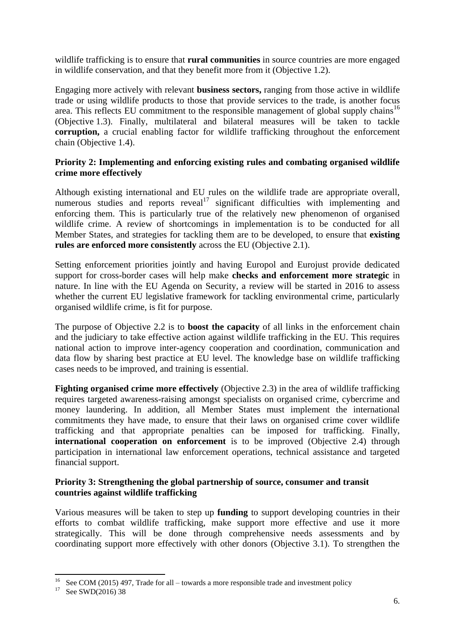wildlife trafficking is to ensure that **rural communities** in source countries are more engaged in wildlife conservation, and that they benefit more from it (Objective 1.2).

Engaging more actively with relevant **business sectors,** ranging from those active in wildlife trade or using wildlife products to those that provide services to the trade, is another focus area. This reflects EU commitment to the responsible management of global supply chains<sup>16</sup> (Objective 1.3). Finally, multilateral and bilateral measures will be taken to tackle **corruption,** a crucial enabling factor for wildlife trafficking throughout the enforcement chain (Objective 1.4).

#### **Priority 2: Implementing and enforcing existing rules and combating organised wildlife crime more effectively**

Although existing international and EU rules on the wildlife trade are appropriate overall, numerous studies and reports reveal<sup>17</sup> significant difficulties with implementing and enforcing them. This is particularly true of the relatively new phenomenon of organised wildlife crime. A review of shortcomings in implementation is to be conducted for all Member States, and strategies for tackling them are to be developed, to ensure that **existing rules are enforced more consistently** across the EU (Objective 2.1).

Setting enforcement priorities jointly and having Europol and Eurojust provide dedicated support for cross-border cases will help make **checks and enforcement more strategic** in nature. In line with the EU Agenda on Security, a review will be started in 2016 to assess whether the current EU legislative framework for tackling environmental crime, particularly organised wildlife crime, is fit for purpose.

The purpose of Objective 2.2 is to **boost the capacity** of all links in the enforcement chain and the judiciary to take effective action against wildlife trafficking in the EU. This requires national action to improve inter-agency cooperation and coordination, communication and data flow by sharing best practice at EU level. The knowledge base on wildlife trafficking cases needs to be improved, and training is essential.

**Fighting organised crime more effectively** (Objective 2.3) in the area of wildlife trafficking requires targeted awareness-raising amongst specialists on organised crime, cybercrime and money laundering. In addition, all Member States must implement the international commitments they have made, to ensure that their laws on organised crime cover wildlife trafficking and that appropriate penalties can be imposed for trafficking. Finally, **international cooperation on enforcement** is to be improved (Objective 2.4) through participation in international law enforcement operations, technical assistance and targeted financial support.

#### **Priority 3: Strengthening the global partnership of source, consumer and transit countries against wildlife trafficking**

Various measures will be taken to step up **funding** to support developing countries in their efforts to combat wildlife trafficking, make support more effective and use it more strategically. This will be done through comprehensive needs assessments and by coordinating support more effectively with other donors (Objective 3.1). To strengthen the

**.** 

<sup>&</sup>lt;sup>16</sup> See COM (2015) 497, Trade for all – towards a more responsible trade and investment policy

<sup>&</sup>lt;sup>17</sup> See SWD(2016) 38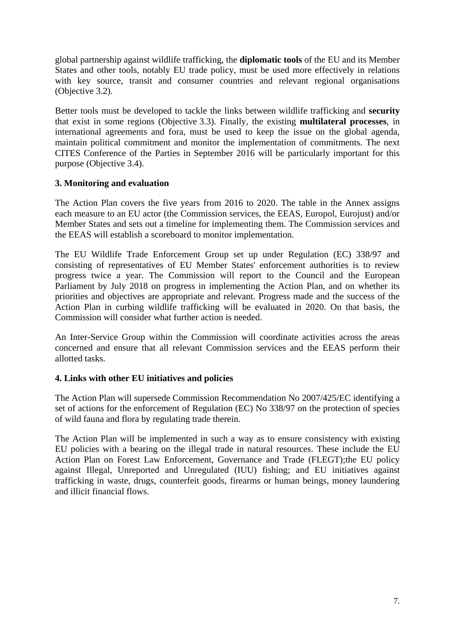global partnership against wildlife trafficking, the **diplomatic tools** of the EU and its Member States and other tools, notably EU trade policy, must be used more effectively in relations with key source, transit and consumer countries and relevant regional organisations (Objective 3.2).

Better tools must be developed to tackle the links between wildlife trafficking and **security** that exist in some regions (Objective 3.3). Finally, the existing **multilateral processes**, in international agreements and fora, must be used to keep the issue on the global agenda, maintain political commitment and monitor the implementation of commitments. The next CITES Conference of the Parties in September 2016 will be particularly important for this purpose (Objective 3.4).

#### **3. Monitoring and evaluation**

The Action Plan covers the five years from 2016 to 2020. The table in the Annex assigns each measure to an EU actor (the Commission services, the EEAS, Europol, Eurojust) and/or Member States and sets out a timeline for implementing them. The Commission services and the EEAS will establish a scoreboard to monitor implementation.

The EU Wildlife Trade Enforcement Group set up under Regulation (EC) 338/97 and consisting of representatives of EU Member States' enforcement authorities is to review progress twice a year. The Commission will report to the Council and the European Parliament by July 2018 on progress in implementing the Action Plan, and on whether its priorities and objectives are appropriate and relevant. Progress made and the success of the Action Plan in curbing wildlife trafficking will be evaluated in 2020. On that basis, the Commission will consider what further action is needed.

An Inter-Service Group within the Commission will coordinate activities across the areas concerned and ensure that all relevant Commission services and the EEAS perform their allotted tasks.

#### **4. Links with other EU initiatives and policies**

The Action Plan will supersede Commission Recommendation No 2007/425/EC identifying a set of actions for the enforcement of Regulation (EC) No 338/97 on the protection of species of wild fauna and flora by regulating trade therein.

The Action Plan will be implemented in such a way as to ensure consistency with existing EU policies with a bearing on the illegal trade in natural resources. These include the EU Action Plan on Forest Law Enforcement, Governance and Trade (FLEGT);the EU policy against Illegal, Unreported and Unregulated (IUU) fishing; and EU initiatives against trafficking in waste, drugs, counterfeit goods, firearms or human beings, money laundering and illicit financial flows.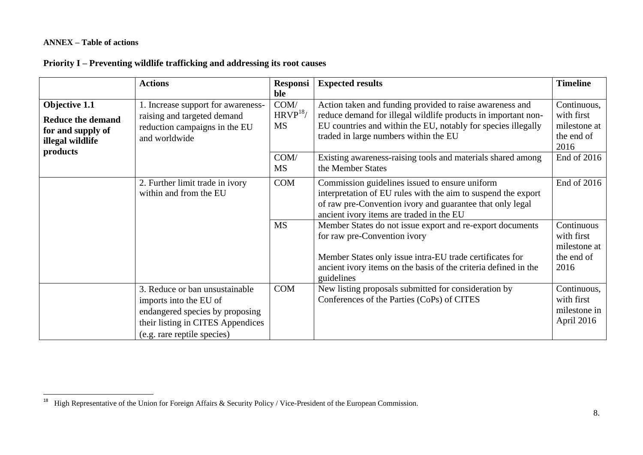#### **ANNEX – Table of actions**

 $\overline{a}$ 

# **Priority I – Preventing wildlife trafficking and addressing its root causes**

|                                                                                    | <b>Actions</b>                                                                                                                                                  | <b>Responsi</b>                  | <b>Expected results</b>                                                                                                                                                                                                                | <b>Timeline</b>                                                 |
|------------------------------------------------------------------------------------|-----------------------------------------------------------------------------------------------------------------------------------------------------------------|----------------------------------|----------------------------------------------------------------------------------------------------------------------------------------------------------------------------------------------------------------------------------------|-----------------------------------------------------------------|
| Objective 1.1<br><b>Reduce the demand</b><br>for and supply of<br>illegal wildlife | . Increase support for awareness-<br>raising and targeted demand<br>reduction campaigns in the EU<br>and worldwide                                              | ble<br>COM/<br>$HRVP^{18}$<br>MS | Action taken and funding provided to raise awareness and<br>reduce demand for illegal wildlife products in important non-<br>EU countries and within the EU, notably for species illegally<br>traded in large numbers within the EU    | Continuous,<br>with first<br>milestone at<br>the end of<br>2016 |
| products                                                                           |                                                                                                                                                                 | COM/<br><b>MS</b>                | Existing awareness-raising tools and materials shared among<br>the Member States                                                                                                                                                       | End of 2016                                                     |
|                                                                                    | 2. Further limit trade in ivory<br>within and from the EU                                                                                                       | <b>COM</b>                       | Commission guidelines issued to ensure uniform<br>interpretation of EU rules with the aim to suspend the export<br>of raw pre-Convention ivory and guarantee that only legal<br>ancient ivory items are traded in the EU               | End of 2016                                                     |
|                                                                                    |                                                                                                                                                                 | <b>MS</b>                        | Member States do not issue export and re-export documents<br>for raw pre-Convention ivory<br>Member States only issue intra-EU trade certificates for<br>ancient ivory items on the basis of the criteria defined in the<br>guidelines | Continuous<br>with first<br>milestone at<br>the end of<br>2016  |
|                                                                                    | 3. Reduce or ban unsustainable<br>imports into the EU of<br>endangered species by proposing<br>their listing in CITES Appendices<br>(e.g. rare reptile species) | <b>COM</b>                       | New listing proposals submitted for consideration by<br>Conferences of the Parties (CoPs) of CITES                                                                                                                                     | Continuous,<br>with first<br>milestone in<br>April 2016         |

<sup>&</sup>lt;sup>18</sup> High Representative of the Union for Foreign Affairs & Security Policy / Vice-President of the European Commission.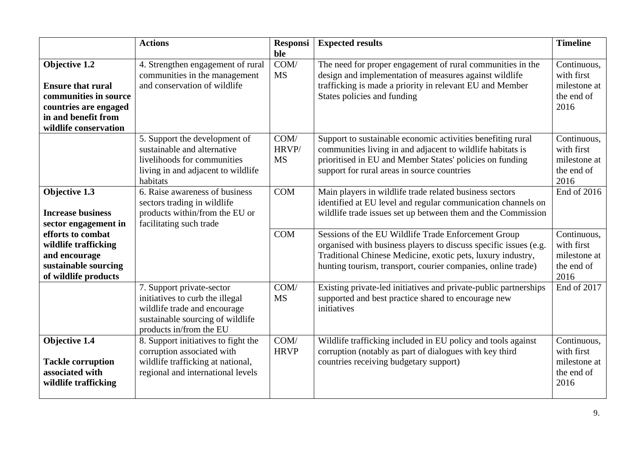|                                                                                                                                             | <b>Actions</b>                                                                                                                                              | <b>Responsi</b><br>ble          | <b>Expected results</b>                                                                                                                                                                                                                                | <b>Timeline</b>                                                 |
|---------------------------------------------------------------------------------------------------------------------------------------------|-------------------------------------------------------------------------------------------------------------------------------------------------------------|---------------------------------|--------------------------------------------------------------------------------------------------------------------------------------------------------------------------------------------------------------------------------------------------------|-----------------------------------------------------------------|
| Objective 1.2<br><b>Ensure that rural</b><br>communities in source<br>countries are engaged<br>in and benefit from<br>wildlife conservation | 4. Strengthen engagement of rural<br>communities in the management<br>and conservation of wildlife                                                          | COM/<br><b>MS</b>               | The need for proper engagement of rural communities in the<br>design and implementation of measures against wildlife<br>trafficking is made a priority in relevant EU and Member<br>States policies and funding                                        | Continuous,<br>with first<br>milestone at<br>the end of<br>2016 |
|                                                                                                                                             | 5. Support the development of<br>sustainable and alternative<br>livelihoods for communities<br>living in and adjacent to wildlife<br>habitats               | COM/<br>HRVP/<br><b>MS</b>      | Support to sustainable economic activities benefiting rural<br>communities living in and adjacent to wildlife habitats is<br>prioritised in EU and Member States' policies on funding<br>support for rural areas in source countries                   | Continuous,<br>with first<br>milestone at<br>the end of<br>2016 |
| Objective 1.3<br><b>Increase business</b><br>sector engagement in                                                                           | 6. Raise awareness of business<br>sectors trading in wildlife<br>products within/from the EU or<br>facilitating such trade                                  | <b>COM</b>                      | Main players in wildlife trade related business sectors<br>identified at EU level and regular communication channels on<br>wildlife trade issues set up between them and the Commission                                                                | End of 2016                                                     |
| efforts to combat<br>wildlife trafficking<br>and encourage<br>sustainable sourcing<br>of wildlife products                                  |                                                                                                                                                             | <b>COM</b>                      | Sessions of the EU Wildlife Trade Enforcement Group<br>organised with business players to discuss specific issues (e.g.<br>Traditional Chinese Medicine, exotic pets, luxury industry,<br>hunting tourism, transport, courier companies, online trade) | Continuous,<br>with first<br>milestone at<br>the end of<br>2016 |
|                                                                                                                                             | 7. Support private-sector<br>initiatives to curb the illegal<br>wildlife trade and encourage<br>sustainable sourcing of wildlife<br>products in/from the EU | COM/<br><b>MS</b>               | Existing private-led initiatives and private-public partnerships<br>supported and best practice shared to encourage new<br>initiatives                                                                                                                 | End of 2017                                                     |
| Objective 1.4<br><b>Tackle corruption</b><br>associated with<br>wildlife trafficking                                                        | 8. Support initiatives to fight the<br>corruption associated with<br>wildlife trafficking at national,<br>regional and international levels                 | $\overline{COM}$<br><b>HRVP</b> | Wildlife trafficking included in EU policy and tools against<br>corruption (notably as part of dialogues with key third<br>countries receiving budgetary support)                                                                                      | Continuous,<br>with first<br>milestone at<br>the end of<br>2016 |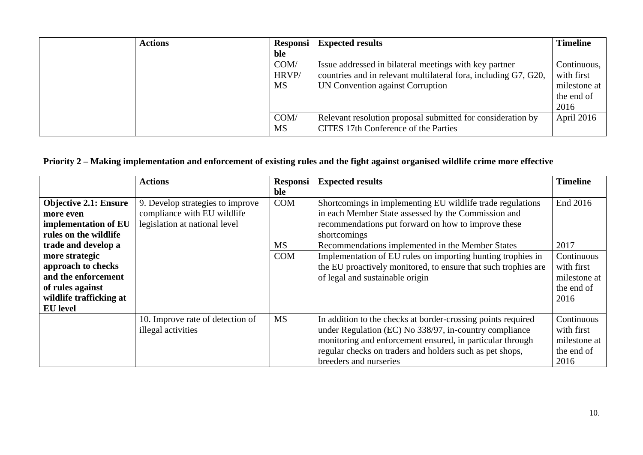| <b>Actions</b> | <b>Responsi</b>   | <b>Expected results</b>                                                                             | <b>Timeline</b> |
|----------------|-------------------|-----------------------------------------------------------------------------------------------------|-----------------|
|                | ble               |                                                                                                     |                 |
|                | COM/              | Issue addressed in bilateral meetings with key partner                                              | Continuous,     |
|                | HRVP/             | countries and in relevant multilateral fora, including G7, G20,                                     | with first      |
|                | <b>MS</b>         | UN Convention against Corruption                                                                    | milestone at    |
|                |                   |                                                                                                     | the end of      |
|                |                   |                                                                                                     | 2016            |
|                | COM/<br><b>MS</b> | Relevant resolution proposal submitted for consideration by<br>CITES 17th Conference of the Parties | April 2016      |

# **Priority 2 – Making implementation and enforcement of existing rules and the fight against organised wildlife crime more effective**

|                              | <b>Actions</b>                   | <b>Responsi</b> | <b>Expected results</b>                                        | <b>Timeline</b> |
|------------------------------|----------------------------------|-----------------|----------------------------------------------------------------|-----------------|
|                              |                                  | ble             |                                                                |                 |
| <b>Objective 2.1: Ensure</b> | 9. Develop strategies to improve | <b>COM</b>      | Shortcomings in implementing EU wildlife trade regulations     | End 2016        |
| more even                    | compliance with EU wildlife      |                 | in each Member State assessed by the Commission and            |                 |
| implementation of EU         | legislation at national level    |                 | recommendations put forward on how to improve these            |                 |
| rules on the wildlife        |                                  |                 | shortcomings                                                   |                 |
| trade and develop a          |                                  | <b>MS</b>       | Recommendations implemented in the Member States               | 2017            |
| more strategic               |                                  | <b>COM</b>      | Implementation of EU rules on importing hunting trophies in    | Continuous      |
| approach to checks           |                                  |                 | the EU proactively monitored, to ensure that such trophies are | with first      |
| and the enforcement          |                                  |                 | of legal and sustainable origin                                | milestone at    |
| of rules against             |                                  |                 |                                                                | the end of      |
| wildlife trafficking at      |                                  |                 |                                                                | 2016            |
| <b>EU</b> level              |                                  |                 |                                                                |                 |
|                              | 10. Improve rate of detection of | <b>MS</b>       | In addition to the checks at border-crossing points required   | Continuous      |
|                              | illegal activities               |                 | under Regulation (EC) No 338/97, in-country compliance         | with first      |
|                              |                                  |                 | monitoring and enforcement ensured, in particular through      | milestone at    |
|                              |                                  |                 | regular checks on traders and holders such as pet shops,       | the end of      |
|                              |                                  |                 | breeders and nurseries                                         | 2016            |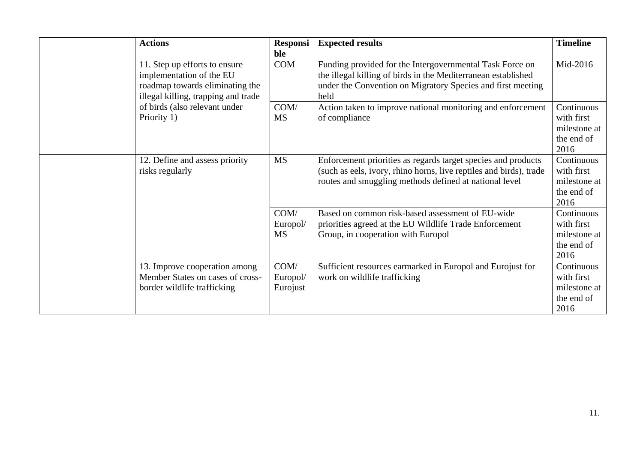| <b>Actions</b>                                                                                                                      | <b>Responsi</b><br>ble        | <b>Expected results</b>                                                                                                                                                                          | <b>Timeline</b>                                                |
|-------------------------------------------------------------------------------------------------------------------------------------|-------------------------------|--------------------------------------------------------------------------------------------------------------------------------------------------------------------------------------------------|----------------------------------------------------------------|
| 11. Step up efforts to ensure<br>implementation of the EU<br>roadmap towards eliminating the<br>illegal killing, trapping and trade | <b>COM</b>                    | Funding provided for the Intergovernmental Task Force on<br>the illegal killing of birds in the Mediterranean established<br>under the Convention on Migratory Species and first meeting<br>held | Mid-2016                                                       |
| of birds (also relevant under<br>Priority 1)                                                                                        | COM/<br><b>MS</b>             | Action taken to improve national monitoring and enforcement<br>of compliance                                                                                                                     | Continuous<br>with first<br>milestone at<br>the end of<br>2016 |
| 12. Define and assess priority<br>risks regularly                                                                                   | <b>MS</b>                     | Enforcement priorities as regards target species and products<br>(such as eels, ivory, rhino horns, live reptiles and birds), trade<br>routes and smuggling methods defined at national level    | Continuous<br>with first<br>milestone at<br>the end of<br>2016 |
|                                                                                                                                     | COM/<br>Europol/<br><b>MS</b> | Based on common risk-based assessment of EU-wide<br>priorities agreed at the EU Wildlife Trade Enforcement<br>Group, in cooperation with Europol                                                 | Continuous<br>with first<br>milestone at<br>the end of<br>2016 |
| 13. Improve cooperation among<br>Member States on cases of cross-<br>border wildlife trafficking                                    | COM/<br>Europol/<br>Eurojust  | Sufficient resources earmarked in Europol and Eurojust for<br>work on wildlife trafficking                                                                                                       | Continuous<br>with first<br>milestone at<br>the end of<br>2016 |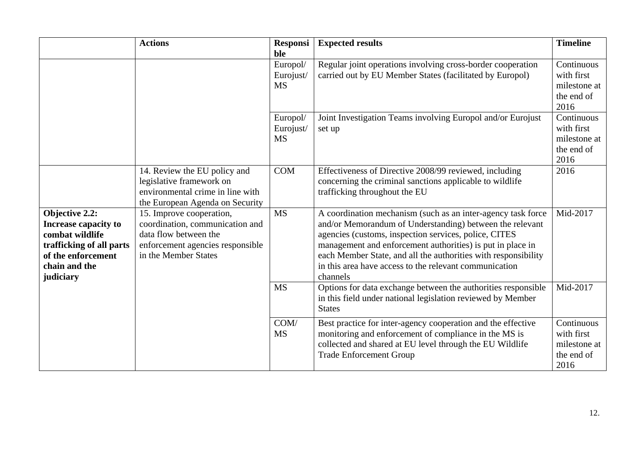|                                                                                                                                           | <b>Actions</b>                                                                                                                                   | <b>Responsi</b><br>ble             | <b>Expected results</b>                                                                                                                                                                                                                                                                                                                                                                 | <b>Timeline</b>                                                |
|-------------------------------------------------------------------------------------------------------------------------------------------|--------------------------------------------------------------------------------------------------------------------------------------------------|------------------------------------|-----------------------------------------------------------------------------------------------------------------------------------------------------------------------------------------------------------------------------------------------------------------------------------------------------------------------------------------------------------------------------------------|----------------------------------------------------------------|
|                                                                                                                                           |                                                                                                                                                  | Europol/<br>Eurojust/<br><b>MS</b> | Regular joint operations involving cross-border cooperation<br>carried out by EU Member States (facilitated by Europol)                                                                                                                                                                                                                                                                 | Continuous<br>with first<br>milestone at<br>the end of<br>2016 |
|                                                                                                                                           |                                                                                                                                                  | Europol/<br>Eurojust/<br><b>MS</b> | Joint Investigation Teams involving Europol and/or Eurojust<br>set up                                                                                                                                                                                                                                                                                                                   | Continuous<br>with first<br>milestone at<br>the end of<br>2016 |
|                                                                                                                                           | 14. Review the EU policy and<br>legislative framework on<br>environmental crime in line with<br>the European Agenda on Security                  | <b>COM</b>                         | Effectiveness of Directive 2008/99 reviewed, including<br>concerning the criminal sanctions applicable to wildlife<br>trafficking throughout the EU                                                                                                                                                                                                                                     | 2016                                                           |
| Objective 2.2:<br>Increase capacity to<br>combat wildlife<br>trafficking of all parts<br>of the enforcement<br>chain and the<br>judiciary | 15. Improve cooperation,<br>coordination, communication and<br>data flow between the<br>enforcement agencies responsible<br>in the Member States | <b>MS</b>                          | A coordination mechanism (such as an inter-agency task force<br>and/or Memorandum of Understanding) between the relevant<br>agencies (customs, inspection services, police, CITES<br>management and enforcement authorities) is put in place in<br>each Member State, and all the authorities with responsibility<br>in this area have access to the relevant communication<br>channels | Mid-2017                                                       |
|                                                                                                                                           |                                                                                                                                                  | <b>MS</b>                          | Options for data exchange between the authorities responsible<br>in this field under national legislation reviewed by Member<br><b>States</b>                                                                                                                                                                                                                                           | Mid-2017                                                       |
|                                                                                                                                           |                                                                                                                                                  | COM/<br><b>MS</b>                  | Best practice for inter-agency cooperation and the effective<br>monitoring and enforcement of compliance in the MS is<br>collected and shared at EU level through the EU Wildlife<br><b>Trade Enforcement Group</b>                                                                                                                                                                     | Continuous<br>with first<br>milestone at<br>the end of<br>2016 |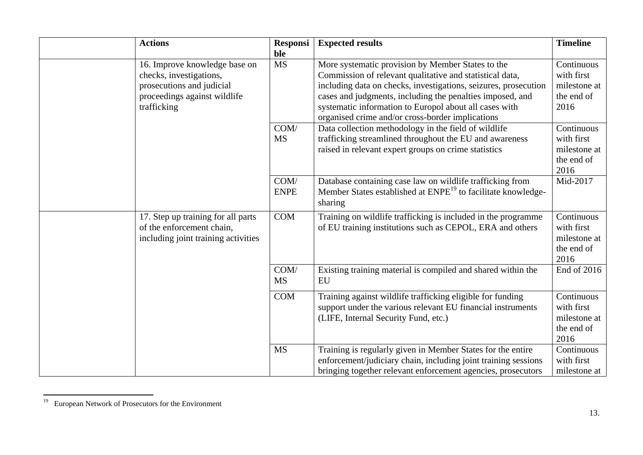| <b>Actions</b>                                                                                                                       | <b>Responsi</b><br>ble | <b>Expected results</b>                                                                                                                                                                                                                                                                                                                                     | <b>Timeline</b>                                                |
|--------------------------------------------------------------------------------------------------------------------------------------|------------------------|-------------------------------------------------------------------------------------------------------------------------------------------------------------------------------------------------------------------------------------------------------------------------------------------------------------------------------------------------------------|----------------------------------------------------------------|
| 16. Improve knowledge base on<br>checks, investigations,<br>prosecutions and judicial<br>proceedings against wildlife<br>trafficking | <b>MS</b>              | More systematic provision by Member States to the<br>Commission of relevant qualitative and statistical data,<br>including data on checks, investigations, seizures, prosecution<br>cases and judgments, including the penalties imposed, and<br>systematic information to Europol about all cases with<br>organised crime and/or cross-border implications | Continuous<br>with first<br>milestone at<br>the end of<br>2016 |
|                                                                                                                                      | COM/<br><b>MS</b>      | Data collection methodology in the field of wildlife<br>trafficking streamlined throughout the EU and awareness<br>raised in relevant expert groups on crime statistics                                                                                                                                                                                     | Continuous<br>with first<br>milestone at<br>the end of<br>2016 |
|                                                                                                                                      | COM/<br><b>ENPE</b>    | Database containing case law on wildlife trafficking from<br>Member States established at ENPE <sup>19</sup> to facilitate knowledge-<br>sharing                                                                                                                                                                                                            | Mid-2017                                                       |
| 17. Step up training for all parts<br>of the enforcement chain,<br>including joint training activities                               | <b>COM</b>             | Training on wildlife trafficking is included in the programme<br>of EU training institutions such as CEPOL, ERA and others                                                                                                                                                                                                                                  | Continuous<br>with first<br>milestone at<br>the end of<br>2016 |
|                                                                                                                                      | COM/<br><b>MS</b>      | Existing training material is compiled and shared within the<br><b>EU</b>                                                                                                                                                                                                                                                                                   | End of 2016                                                    |
|                                                                                                                                      | <b>COM</b>             | Training against wildlife trafficking eligible for funding<br>support under the various relevant EU financial instruments<br>(LIFE, Internal Security Fund, etc.)                                                                                                                                                                                           | Continuous<br>with first<br>milestone at<br>the end of<br>2016 |
|                                                                                                                                      | <b>MS</b>              | Training is regularly given in Member States for the entire<br>enforcement/judiciary chain, including joint training sessions<br>bringing together relevant enforcement agencies, prosecutors                                                                                                                                                               | Continuous<br>with first<br>milestone at                       |

 $\overline{\phantom{a}}$ <sup>19</sup> European Network of Prosecutors for the Environment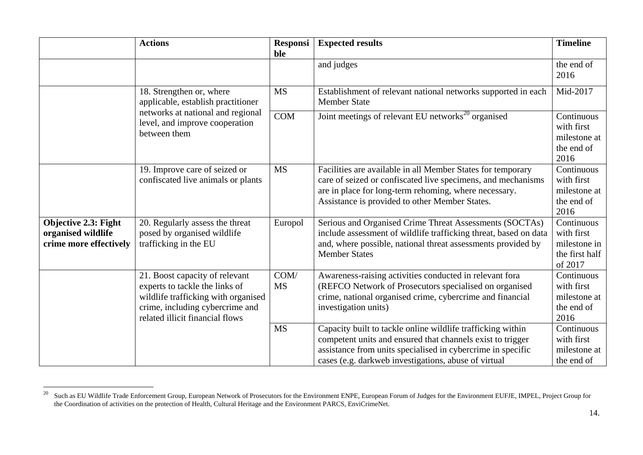|                                                                             | <b>Actions</b>                                                                                                                                                                | <b>Responsi</b><br>ble | <b>Expected results</b>                                                                                                                                                                                                                          | <b>Timeline</b>                                                       |
|-----------------------------------------------------------------------------|-------------------------------------------------------------------------------------------------------------------------------------------------------------------------------|------------------------|--------------------------------------------------------------------------------------------------------------------------------------------------------------------------------------------------------------------------------------------------|-----------------------------------------------------------------------|
|                                                                             |                                                                                                                                                                               |                        | and judges                                                                                                                                                                                                                                       | the end of<br>2016                                                    |
|                                                                             | 18. Strengthen or, where<br>applicable, establish practitioner                                                                                                                | <b>MS</b>              | Establishment of relevant national networks supported in each<br><b>Member State</b>                                                                                                                                                             | Mid-2017                                                              |
|                                                                             | networks at national and regional<br>level, and improve cooperation<br>between them                                                                                           | COM                    | Joint meetings of relevant EU networks <sup>20</sup> organised                                                                                                                                                                                   | Continuous<br>with first<br>milestone at<br>the end of<br>2016        |
|                                                                             | 19. Improve care of seized or<br>confiscated live animals or plants                                                                                                           | <b>MS</b>              | Facilities are available in all Member States for temporary<br>care of seized or confiscated live specimens, and mechanisms<br>are in place for long-term rehoming, where necessary.<br>Assistance is provided to other Member States.           | Continuous<br>with first<br>milestone at<br>the end of<br>2016        |
| <b>Objective 2.3: Fight</b><br>organised wildlife<br>crime more effectively | 20. Regularly assess the threat<br>posed by organised wildlife<br>trafficking in the EU                                                                                       | Europol                | Serious and Organised Crime Threat Assessments (SOCTAs)<br>include assessment of wildlife trafficking threat, based on data<br>and, where possible, national threat assessments provided by<br><b>Member States</b>                              | Continuous<br>with first<br>milestone in<br>the first half<br>of 2017 |
|                                                                             | 21. Boost capacity of relevant<br>experts to tackle the links of<br>wildlife trafficking with organised<br>crime, including cybercrime and<br>related illicit financial flows | COM/<br><b>MS</b>      | Awareness-raising activities conducted in relevant fora<br>(REFCO Network of Prosecutors specialised on organised<br>crime, national organised crime, cybercrime and financial<br>investigation units)                                           | Continuous<br>with first<br>milestone at<br>the end of<br>2016        |
|                                                                             |                                                                                                                                                                               | <b>MS</b>              | Capacity built to tackle online wildlife trafficking within<br>competent units and ensured that channels exist to trigger<br>assistance from units specialised in cybercrime in specific<br>cases (e.g. darkweb investigations, abuse of virtual | Continuous<br>with first<br>milestone at<br>the end of                |

 $20\,$ <sup>20</sup> Such as EU Wildlife Trade Enforcement Group, European Network of Prosecutors for the Environment ENPE, European Forum of Judges for the Environment EUFJE, IMPEL, Project Group for the Coordination of activities on the protection of Health, Cultural Heritage and the Environment PARCS, EnviCrimeNet.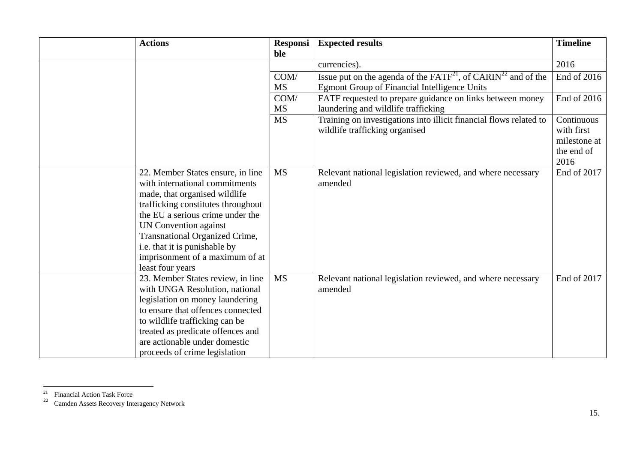| <b>Actions</b>                                                                                                                                                                                                                                                                                                                                  | Responsi<br>ble   | <b>Expected results</b>                                                                                                        | <b>Timeline</b>                                                |
|-------------------------------------------------------------------------------------------------------------------------------------------------------------------------------------------------------------------------------------------------------------------------------------------------------------------------------------------------|-------------------|--------------------------------------------------------------------------------------------------------------------------------|----------------------------------------------------------------|
|                                                                                                                                                                                                                                                                                                                                                 |                   | currencies).                                                                                                                   | 2016                                                           |
|                                                                                                                                                                                                                                                                                                                                                 | COM/<br><b>MS</b> | Issue put on the agenda of the $FATF^{21}$ , of $CARIN^{22}$ and of the<br><b>Egmont Group of Financial Intelligence Units</b> | End of 2016                                                    |
|                                                                                                                                                                                                                                                                                                                                                 | COM/<br><b>MS</b> | FATF requested to prepare guidance on links between money<br>laundering and wildlife trafficking                               | End of 2016                                                    |
|                                                                                                                                                                                                                                                                                                                                                 | <b>MS</b>         | Training on investigations into illicit financial flows related to<br>wildlife trafficking organised                           | Continuous<br>with first<br>milestone at<br>the end of<br>2016 |
| 22. Member States ensure, in line<br>with international commitments<br>made, that organised wildlife<br>trafficking constitutes throughout<br>the EU a serious crime under the<br><b>UN Convention against</b><br><b>Transnational Organized Crime,</b><br>i.e. that it is punishable by<br>imprisonment of a maximum of at<br>least four years | <b>MS</b>         | Relevant national legislation reviewed, and where necessary<br>amended                                                         | End of 2017                                                    |
| 23. Member States review, in line<br>with UNGA Resolution, national<br>legislation on money laundering<br>to ensure that offences connected<br>to wildlife trafficking can be<br>treated as predicate offences and<br>are actionable under domestic<br>proceeds of crime legislation                                                            | <b>MS</b>         | Relevant national legislation reviewed, and where necessary<br>amended                                                         | End of 2017                                                    |

 $\overline{a}$ 

 $21$  Financial Action Task Force

<sup>&</sup>lt;sup>22</sup> Camden Assets Recovery Interagency Network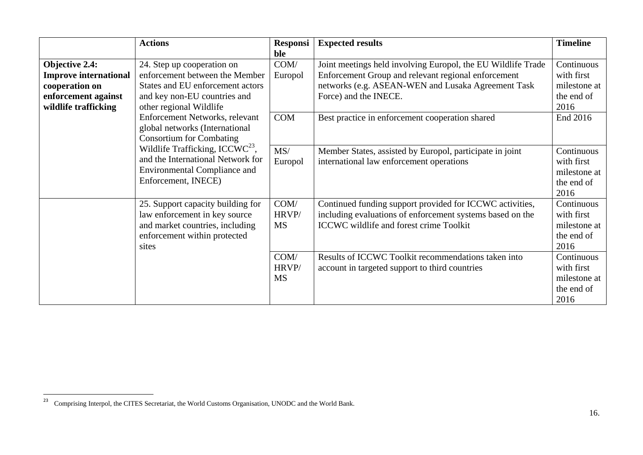|                              | <b>Actions</b>                        | <b>Responsi</b> | <b>Expected results</b>                                      | <b>Timeline</b> |
|------------------------------|---------------------------------------|-----------------|--------------------------------------------------------------|-----------------|
|                              |                                       | ble             |                                                              |                 |
| <b>Objective 2.4:</b>        | 24. Step up cooperation on            | COM/            | Joint meetings held involving Europol, the EU Wildlife Trade | Continuous      |
| <b>Improve international</b> | enforcement between the Member        | Europol         | Enforcement Group and relevant regional enforcement          | with first      |
| cooperation on               | States and EU enforcement actors      |                 | networks (e.g. ASEAN-WEN and Lusaka Agreement Task           | milestone at    |
| enforcement against          | and key non-EU countries and          |                 | Force) and the INECE.                                        | the end of      |
| wildlife trafficking         | other regional Wildlife               |                 |                                                              | 2016            |
|                              | Enforcement Networks, relevant        | <b>COM</b>      | Best practice in enforcement cooperation shared              | End 2016        |
|                              | global networks (International        |                 |                                                              |                 |
|                              | <b>Consortium for Combating</b>       |                 |                                                              |                 |
|                              | Wildlife Trafficking, ICCW $C^{23}$ , | MS/             | Member States, assisted by Europol, participate in joint     | Continuous      |
|                              | and the International Network for     | Europol         | international law enforcement operations                     | with first      |
|                              | <b>Environmental Compliance and</b>   |                 |                                                              | milestone at    |
|                              | Enforcement, INECE)                   |                 |                                                              | the end of      |
|                              |                                       |                 |                                                              | 2016            |
|                              | 25. Support capacity building for     | COM/            | Continued funding support provided for ICCWC activities,     | Continuous      |
|                              | law enforcement in key source         | HRVP/           | including evaluations of enforcement systems based on the    | with first      |
|                              | and market countries, including       | <b>MS</b>       | <b>ICCWC</b> wildlife and forest crime Toolkit               | milestone at    |
|                              | enforcement within protected          |                 |                                                              | the end of      |
|                              | sites                                 |                 |                                                              | 2016            |
|                              |                                       | COM/            | Results of ICCWC Toolkit recommendations taken into          | Continuous      |
|                              |                                       | HRVP/           | account in targeted support to third countries               | with first      |
|                              |                                       | <b>MS</b>       |                                                              | milestone at    |
|                              |                                       |                 |                                                              | the end of      |
|                              |                                       |                 |                                                              | 2016            |

 $\overline{a}$ 

<sup>&</sup>lt;sup>23</sup> Comprising Interpol, the CITES Secretariat, the World Customs Organisation, UNODC and the World Bank.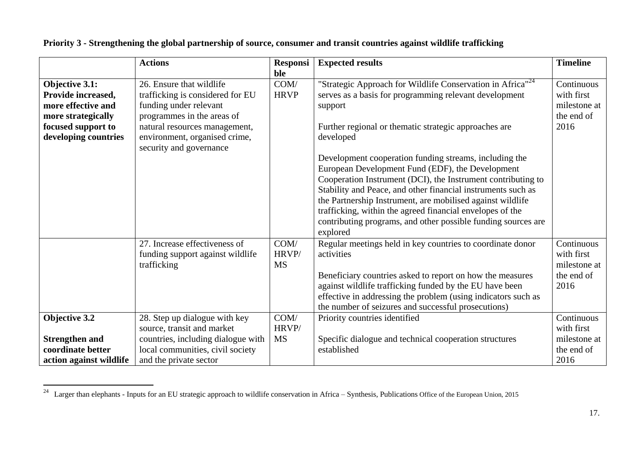|                         | <b>Actions</b>                     | <b>Responsi</b> | <b>Expected results</b>                                                | <b>Timeline</b> |
|-------------------------|------------------------------------|-----------------|------------------------------------------------------------------------|-----------------|
|                         |                                    | ble             |                                                                        |                 |
| <b>Objective 3.1:</b>   | 26. Ensure that wildlife           | COM/            | "Strategic Approach for Wildlife Conservation in Africa" <sup>24</sup> | Continuous      |
| Provide increased,      | trafficking is considered for EU   | <b>HRVP</b>     | serves as a basis for programming relevant development                 | with first      |
| more effective and      | funding under relevant             |                 | support                                                                | milestone at    |
| more strategically      | programmes in the areas of         |                 |                                                                        | the end of      |
| focused support to      | natural resources management,      |                 | Further regional or thematic strategic approaches are                  | 2016            |
| developing countries    | environment, organised crime,      |                 | developed                                                              |                 |
|                         | security and governance            |                 |                                                                        |                 |
|                         |                                    |                 | Development cooperation funding streams, including the                 |                 |
|                         |                                    |                 | European Development Fund (EDF), the Development                       |                 |
|                         |                                    |                 | Cooperation Instrument (DCI), the Instrument contributing to           |                 |
|                         |                                    |                 | Stability and Peace, and other financial instruments such as           |                 |
|                         |                                    |                 | the Partnership Instrument, are mobilised against wildlife             |                 |
|                         |                                    |                 | trafficking, within the agreed financial envelopes of the              |                 |
|                         |                                    |                 | contributing programs, and other possible funding sources are          |                 |
|                         |                                    |                 | explored                                                               |                 |
|                         | 27. Increase effectiveness of      | COM/            | Regular meetings held in key countries to coordinate donor             | Continuous      |
|                         | funding support against wildlife   | HRVP/           | activities                                                             | with first      |
|                         | trafficking                        | <b>MS</b>       |                                                                        | milestone at    |
|                         |                                    |                 | Beneficiary countries asked to report on how the measures              | the end of      |
|                         |                                    |                 | against wildlife trafficking funded by the EU have been                | 2016            |
|                         |                                    |                 | effective in addressing the problem (using indicators such as          |                 |
|                         |                                    |                 | the number of seizures and successful prosecutions)                    |                 |
| Objective 3.2           | 28. Step up dialogue with key      | COM/            | Priority countries identified                                          | Continuous      |
|                         | source, transit and market         | HRVP/           |                                                                        | with first      |
| <b>Strengthen and</b>   | countries, including dialogue with | <b>MS</b>       | Specific dialogue and technical cooperation structures                 | milestone at    |
| coordinate better       | local communities, civil society   |                 | established                                                            | the end of      |
| action against wildlife | and the private sector             |                 |                                                                        | 2016            |

# **Priority 3 - Strengthening the global partnership of source, consumer and transit countries against wildlife trafficking**

 $\overline{\phantom{a}}$ 

<sup>&</sup>lt;sup>24</sup> Larger than elephants - Inputs for an EU strategic approach to wildlife conservation in Africa – Synthesis, Publications Office of the European Union, 2015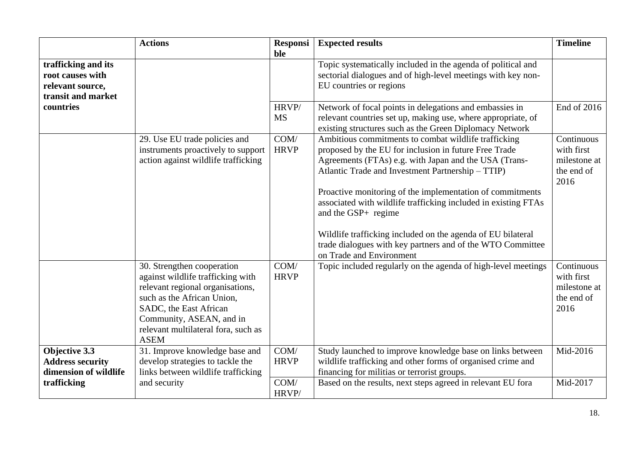|                                                                                   | <b>Actions</b>                                                                                                                                                                                                                                | <b>Responsi</b><br>ble | <b>Expected results</b>                                                                                                                                                                                                                                                                                                                                                                                                                                                                                        | <b>Timeline</b>                                                |
|-----------------------------------------------------------------------------------|-----------------------------------------------------------------------------------------------------------------------------------------------------------------------------------------------------------------------------------------------|------------------------|----------------------------------------------------------------------------------------------------------------------------------------------------------------------------------------------------------------------------------------------------------------------------------------------------------------------------------------------------------------------------------------------------------------------------------------------------------------------------------------------------------------|----------------------------------------------------------------|
| trafficking and its<br>root causes with<br>relevant source,<br>transit and market |                                                                                                                                                                                                                                               |                        | Topic systematically included in the agenda of political and<br>sectorial dialogues and of high-level meetings with key non-<br>EU countries or regions                                                                                                                                                                                                                                                                                                                                                        |                                                                |
| countries                                                                         |                                                                                                                                                                                                                                               | HRVP/<br><b>MS</b>     | Network of focal points in delegations and embassies in<br>relevant countries set up, making use, where appropriate, of<br>existing structures such as the Green Diplomacy Network                                                                                                                                                                                                                                                                                                                             | End of 2016                                                    |
|                                                                                   | 29. Use EU trade policies and<br>instruments proactively to support<br>action against wildlife trafficking                                                                                                                                    | COM/<br><b>HRVP</b>    | Ambitious commitments to combat wildlife trafficking<br>proposed by the EU for inclusion in future Free Trade<br>Agreements (FTAs) e.g. with Japan and the USA (Trans-<br>Atlantic Trade and Investment Partnership - TTIP)<br>Proactive monitoring of the implementation of commitments<br>associated with wildlife trafficking included in existing FTAs<br>and the GSP+ regime<br>Wildlife trafficking included on the agenda of EU bilateral<br>trade dialogues with key partners and of the WTO Committee | Continuous<br>with first<br>milestone at<br>the end of<br>2016 |
|                                                                                   | 30. Strengthen cooperation<br>against wildlife trafficking with<br>relevant regional organisations,<br>such as the African Union,<br>SADC, the East African<br>Community, ASEAN, and in<br>relevant multilateral fora, such as<br><b>ASEM</b> | COM/<br><b>HRVP</b>    | on Trade and Environment<br>Topic included regularly on the agenda of high-level meetings                                                                                                                                                                                                                                                                                                                                                                                                                      | Continuous<br>with first<br>milestone at<br>the end of<br>2016 |
| Objective 3.3<br><b>Address security</b><br>dimension of wildlife                 | 31. Improve knowledge base and<br>develop strategies to tackle the<br>links between wildlife trafficking                                                                                                                                      | COM/<br><b>HRVP</b>    | Study launched to improve knowledge base on links between<br>wildlife trafficking and other forms of organised crime and<br>financing for militias or terrorist groups.                                                                                                                                                                                                                                                                                                                                        | Mid-2016                                                       |
| trafficking                                                                       | and security                                                                                                                                                                                                                                  | COM/<br>HRVP/          | Based on the results, next steps agreed in relevant EU fora                                                                                                                                                                                                                                                                                                                                                                                                                                                    | Mid-2017                                                       |